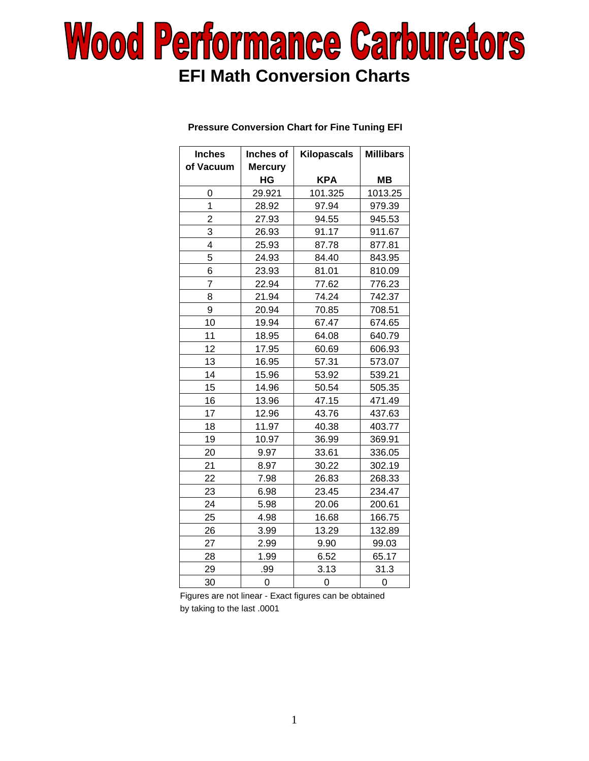# **Wood Performance Carburetors EFI Math Conversion Charts**

#### Inches | Inches of | Kilopascals | Millibars of Vacuum | Mercury  **HG KPA MB**  0 | 29.921 | 101.325 | 1013.25 1 | 28.92 | 97.94 | 979.39 2 | 27.93 | 94.55 | 945.53 3 26.93 91.17 911.67 4 | 25.93 | 87.78 | 877.81 5 24.93 84.40 843.95 6 23.93 81.01 810.09 7 22.94 77.62 776.23 8 21.94 74.24 742.37 9 20.94 70.85 708.51 10 19.94 67.47 674.65 11 | 18.95 | 64.08 | 640.79 12 | 17.95 | 60.69 | 606.93 13 | 16.95 | 57.31 | 573.07 14 | 15.96 | 53.92 | 539.21 15 | 14.96 | 50.54 | 505.35 16 13.96 47.15 471.49 17 | 12.96 | 43.76 | 437.63 18 | 11.97 | 40.38 | 403.77 19 10.97 36.99 369.91 20 9.97 33.61 336.05 21 8.97 30.22 302.19 22 | 7.98 | 26.83 | 268.33 23 6.98 23.45 234.47 24 | 5.98 | 20.06 | 200.61 25 4.98 16.68 166.75 26 3.99 13.29 132.89 27 | 2.99 | 9.90 | 99.03 28 1.99 6.52 65.17 29 | .99 | 3.13 | 31.3 30 0 0 0 0

#### **Pressure Conversion Chart for Fine Tuning EFI**

Figures are not linear - Exact figures can be obtained by taking to the last .0001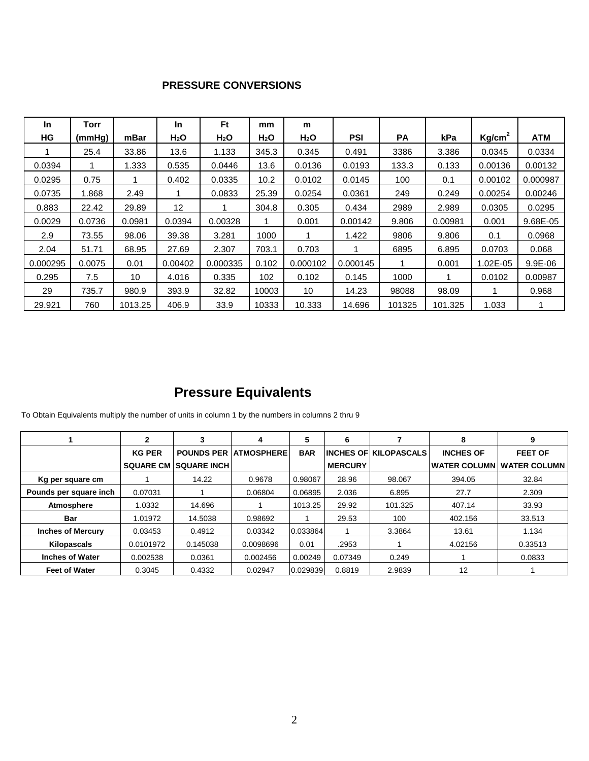### **PRESSURE CONVERSIONS**

| <b>In</b> | Torr   |         | In               | <b>Ft</b>        | mm               | m                |            |           |         |                    |            |
|-----------|--------|---------|------------------|------------------|------------------|------------------|------------|-----------|---------|--------------------|------------|
| <b>HG</b> | (mmHg) | mBar    | H <sub>2</sub> O | H <sub>2</sub> O | H <sub>2</sub> O | H <sub>2</sub> O | <b>PSI</b> | <b>PA</b> | kPa     | Kg/cm <sup>2</sup> | <b>ATM</b> |
|           | 25.4   | 33.86   | 13.6             | 1.133            | 345.3            | 0.345            | 0.491      | 3386      | 3.386   | 0.0345             | 0.0334     |
| 0.0394    |        | 1.333   | 0.535            | 0.0446           | 13.6             | 0.0136           | 0.0193     | 133.3     | 0.133   | 0.00136            | 0.00132    |
| 0.0295    | 0.75   |         | 0.402            | 0.0335           | 10.2             | 0.0102           | 0.0145     | 100       | 0.1     | 0.00102            | 0.000987   |
| 0.0735    | 1.868  | 2.49    |                  | 0.0833           | 25.39            | 0.0254           | 0.0361     | 249       | 0.249   | 0.00254            | 0.00246    |
| 0.883     | 22.42  | 29.89   | 12               |                  | 304.8            | 0.305            | 0.434      | 2989      | 2.989   | 0.0305             | 0.0295     |
| 0.0029    | 0.0736 | 0.0981  | 0.0394           | 0.00328          |                  | 0.001            | 0.00142    | 9.806     | 0.00981 | 0.001              | 9.68E-05   |
| 2.9       | 73.55  | 98.06   | 39.38            | 3.281            | 1000             |                  | 1.422      | 9806      | 9.806   | 0.1                | 0.0968     |
| 2.04      | 51.71  | 68.95   | 27.69            | 2.307            | 703.1            | 0.703            |            | 6895      | 6.895   | 0.0703             | 0.068      |
| 0.000295  | 0.0075 | 0.01    | 0.00402          | 0.000335         | 0.102            | 0.000102         | 0.000145   |           | 0.001   | 1.02E-05           | 9.9E-06    |
| 0.295     | 7.5    | 10      | 4.016            | 0.335            | 102              | 0.102            | 0.145      | 1000      |         | 0.0102             | 0.00987    |
| 29        | 735.7  | 980.9   | 393.9            | 32.82            | 10003            | 10               | 14.23      | 98088     | 98.09   |                    | 0.968      |
| 29.921    | 760    | 1013.25 | 406.9            | 33.9             | 10333            | 10.333           | 14.696     | 101325    | 101.325 | 1.033              |            |

## **Pressure Equivalents**

To Obtain Equivalents multiply the number of units in column 1 by the numbers in columns 2 thru 9

|                          |               | 3                             | 4                 | 5          | 6              |                               | 8                   | 9                   |
|--------------------------|---------------|-------------------------------|-------------------|------------|----------------|-------------------------------|---------------------|---------------------|
|                          | <b>KG PER</b> | <b>POUNDS PER</b>             | <b>ATMOSPHERE</b> | <b>BAR</b> |                | <b>IINCHES OF KILOPASCALS</b> | <b>INCHES OF</b>    | <b>FEET OF</b>      |
|                          |               | <b>SQUARE CM SQUARE INCHI</b> |                   |            | <b>MERCURY</b> |                               | <b>WATER COLUMN</b> | <b>WATER COLUMN</b> |
| Kg per square cm         |               | 14.22                         | 0.9678            | 0.98067    | 28.96          | 98.067                        | 394.05              | 32.84               |
| Pounds per square inch   | 0.07031       |                               | 0.06804           | 0.06895    | 2.036          | 6.895                         | 27.7                | 2.309               |
| Atmosphere               | 1.0332        | 14.696                        |                   | 1013.25    | 29.92          | 101.325                       | 407.14              | 33.93               |
| Bar                      | 1.01972       | 14.5038                       | 0.98692           |            | 29.53          | 100                           | 402.156             | 33.513              |
| <b>Inches of Mercury</b> | 0.03453       | 0.4912                        | 0.03342           | 0.033864   |                | 3.3864                        | 13.61               | 1.134               |
| <b>Kilopascals</b>       | 0.0101972     | 0.145038                      | 0.0098696         | 0.01       | .2953          |                               | 4.02156             | 0.33513             |
| <b>Inches of Water</b>   | 0.002538      | 0.0361                        | 0.002456          | 0.00249    | 0.07349        | 0.249                         |                     | 0.0833              |
| <b>Feet of Water</b>     | 0.3045        | 0.4332                        | 0.02947           | 0.029839   | 0.8819         | 2.9839                        | 12                  |                     |